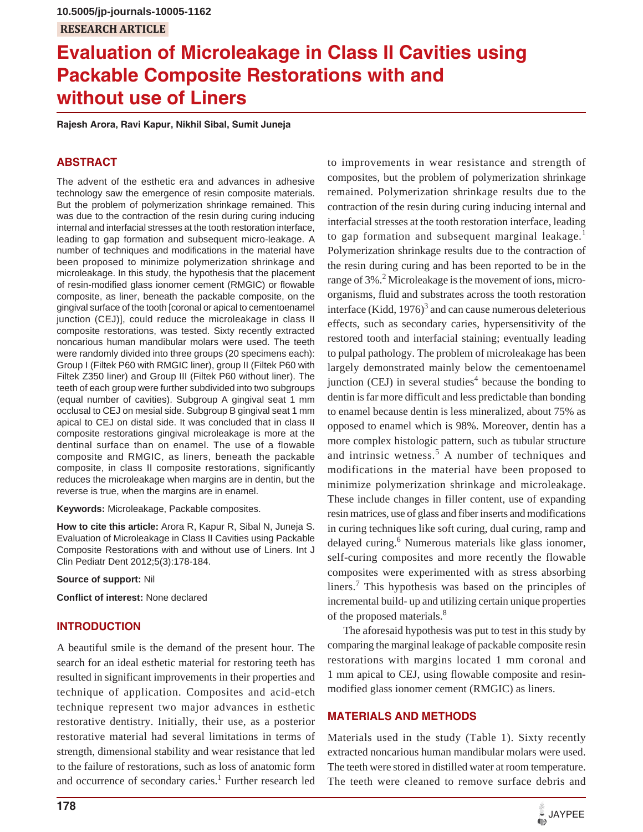# **Evaluation of Microleakage in Class II Cavities using Packable Composite Restorations with and without use of Liners**

**Rajesh Arora, Ravi Kapur, Nikhil Sibal, Sumit Juneja**

# **ABSTRACT**

The advent of the esthetic era and advances in adhesive technology saw the emergence of resin composite materials. But the problem of polymerization shrinkage remained. This was due to the contraction of the resin during curing inducing internal and interfacial stresses at the tooth restoration interface, leading to gap formation and subsequent micro-leakage. A number of techniques and modifications in the material have been proposed to minimize polymerization shrinkage and microleakage. In this study, the hypothesis that the placement of resin-modified glass ionomer cement (RMGIC) or flowable composite, as liner, beneath the packable composite, on the gingival surface of the tooth [coronal or apical to cementoenamel junction (CEJ)], could reduce the microleakage in class II composite restorations, was tested. Sixty recently extracted noncarious human mandibular molars were used. The teeth were randomly divided into three groups (20 specimens each): Group I (Filtek P60 with RMGIC liner), group II (Filtek P60 with Filtek Z350 liner) and Group III (Filtek P60 without liner). The teeth of each group were further subdivided into two subgroups (equal number of cavities). Subgroup A gingival seat 1 mm occlusal to CEJ on mesial side. Subgroup B gingival seat 1 mm apical to CEJ on distal side. It was concluded that in class II composite restorations gingival microleakage is more at the dentinal surface than on enamel. The use of a flowable composite and RMGIC, as liners, beneath the packable composite, in class II composite restorations, significantly reduces the microleakage when margins are in dentin, but the reverse is true, when the margins are in enamel.

**Keywords:** Microleakage, Packable composites.

**How to cite this article:** Arora R, Kapur R, Sibal N, Juneja S. Evaluation of Microleakage in Class II Cavities using Packable Composite Restorations with and without use of Liners. Int J Clin Pediatr Dent 2012;5(3):178-184.

**Source of support:** Nil

**Conflict of interest:** None declared

# **INTRODUCTION**

A beautiful smile is the demand of the present hour. The search for an ideal esthetic material for restoring teeth has resulted in significant improvements in their properties and technique of application. Composites and acid-etch technique represent two major advances in esthetic restorative dentistry. Initially, their use, as a posterior restorative material had several limitations in terms of strength, dimensional stability and wear resistance that led to the failure of restorations, such as loss of anatomic form and occurrence of secondary caries.<sup>1</sup> Further research led

to improvements in wear resistance and strength of composites, but the problem of polymerization shrinkage remained. Polymerization shrinkage results due to the contraction of the resin during curing inducing internal and interfacial stresses at the tooth restoration interface, leading to gap formation and subsequent marginal leakage.<sup>1</sup> Polymerization shrinkage results due to the contraction of the resin during curing and has been reported to be in the range of 3%.<sup>2</sup> Microleakage is the movement of ions, microorganisms, fluid and substrates across the tooth restoration interface (Kidd, 1976)<sup>3</sup> and can cause numerous deleterious effects, such as secondary caries, hypersensitivity of the restored tooth and interfacial staining; eventually leading to pulpal pathology. The problem of microleakage has been largely demonstrated mainly below the cementoenamel junction (CEJ) in several studies<sup>4</sup> because the bonding to dentin is far more difficult and less predictable than bonding to enamel because dentin is less mineralized, about 75% as opposed to enamel which is 98%. Moreover, dentin has a more complex histologic pattern, such as tubular structure and intrinsic wetness.<sup>5</sup> A number of techniques and modifications in the material have been proposed to minimize polymerization shrinkage and microleakage. These include changes in filler content, use of expanding resin matrices, use of glass and fiber inserts and modifications in curing techniques like soft curing, dual curing, ramp and delayed curing.<sup>6</sup> Numerous materials like glass ionomer, self-curing composites and more recently the flowable composites were experimented with as stress absorbing liners.<sup>7</sup> This hypothesis was based on the principles of incremental build- up and utilizing certain unique properties of the proposed materials.<sup>8</sup>

The aforesaid hypothesis was put to test in this study by comparing the marginal leakage of packable composite resin restorations with margins located 1 mm coronal and 1 mm apical to CEJ, using flowable composite and resinmodified glass ionomer cement (RMGIC) as liners.

# **MATERIALS AND METHODS**

Materials used in the study (Table 1). Sixty recently extracted noncarious human mandibular molars were used. The teeth were stored in distilled water at room temperature. The teeth were cleaned to remove surface debris and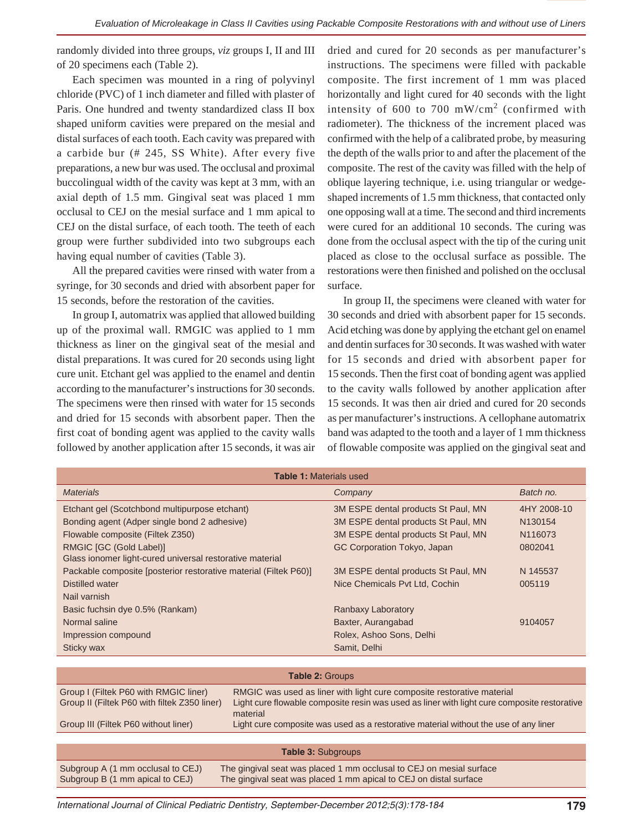randomly divided into three groups, *viz* groups I, II and III of 20 specimens each (Table 2).

Each specimen was mounted in a ring of polyvinyl chloride (PVC) of 1 inch diameter and filled with plaster of Paris. One hundred and twenty standardized class II box shaped uniform cavities were prepared on the mesial and distal surfaces of each tooth. Each cavity was prepared with a carbide bur (# 245, SS White). After every five preparations, a new bur was used. The occlusal and proximal buccolingual width of the cavity was kept at 3 mm, with an axial depth of 1.5 mm. Gingival seat was placed 1 mm occlusal to CEJ on the mesial surface and 1 mm apical to CEJ on the distal surface, of each tooth. The teeth of each group were further subdivided into two subgroups each having equal number of cavities (Table 3).

All the prepared cavities were rinsed with water from a syringe, for 30 seconds and dried with absorbent paper for 15 seconds, before the restoration of the cavities.

In group I, automatrix was applied that allowed building up of the proximal wall. RMGIC was applied to 1 mm thickness as liner on the gingival seat of the mesial and distal preparations. It was cured for 20 seconds using light cure unit. Etchant gel was applied to the enamel and dentin according to the manufacturer's instructions for 30 seconds. The specimens were then rinsed with water for 15 seconds and dried for 15 seconds with absorbent paper. Then the first coat of bonding agent was applied to the cavity walls followed by another application after 15 seconds, it was air

dried and cured for 20 seconds as per manufacturer's instructions. The specimens were filled with packable composite. The first increment of 1 mm was placed horizontally and light cured for 40 seconds with the light intensity of 600 to 700 mW/cm<sup>2</sup> (confirmed with radiometer). The thickness of the increment placed was confirmed with the help of a calibrated probe, by measuring the depth of the walls prior to and after the placement of the composite. The rest of the cavity was filled with the help of oblique layering technique, i.e. using triangular or wedgeshaped increments of 1.5 mm thickness, that contacted only one opposing wall at a time. The second and third increments were cured for an additional 10 seconds. The curing was done from the occlusal aspect with the tip of the curing unit placed as close to the occlusal surface as possible. The restorations were then finished and polished on the occlusal surface.

In group II, the specimens were cleaned with water for 30 seconds and dried with absorbent paper for 15 seconds. Acid etching was done by applying the etchant gel on enamel and dentin surfaces for 30 seconds. It was washed with water for 15 seconds and dried with absorbent paper for 15 seconds. Then the first coat of bonding agent was applied to the cavity walls followed by another application after 15 seconds. It was then air dried and cured for 20 seconds as per manufacturer's instructions. A cellophane automatrix band was adapted to the tooth and a layer of 1 mm thickness of flowable composite was applied on the gingival seat and

| <b>Table 1: Materials used</b>                                                                                  |                                     |                     |  |  |  |  |
|-----------------------------------------------------------------------------------------------------------------|-------------------------------------|---------------------|--|--|--|--|
| <b>Materials</b>                                                                                                | Company                             | Batch no.           |  |  |  |  |
| Etchant gel (Scotchbond multipurpose etchant)                                                                   | 3M ESPE dental products St Paul, MN | 4HY 2008-10         |  |  |  |  |
| Bonding agent (Adper single bond 2 adhesive)                                                                    | 3M ESPE dental products St Paul, MN | N <sub>130154</sub> |  |  |  |  |
| Flowable composite (Filtek Z350)                                                                                | 3M ESPE dental products St Paul, MN | N116073             |  |  |  |  |
| RMGIC [GC (Gold Label)]                                                                                         | GC Corporation Tokyo, Japan         | 0802041             |  |  |  |  |
| Glass ionomer light-cured universal restorative material                                                        |                                     |                     |  |  |  |  |
| Packable composite [posterior restorative material (Filtek P60)]                                                | 3M ESPE dental products St Paul, MN | N 145537            |  |  |  |  |
| Distilled water                                                                                                 | Nice Chemicals Pvt Ltd, Cochin      | 005119              |  |  |  |  |
| Nail varnish                                                                                                    |                                     |                     |  |  |  |  |
| Basic fuchsin dye 0.5% (Rankam)                                                                                 | Ranbaxy Laboratory                  |                     |  |  |  |  |
| Normal saline                                                                                                   | Baxter, Aurangabad                  | 9104057             |  |  |  |  |
| Impression compound                                                                                             | Rolex, Ashoo Sons, Delhi            |                     |  |  |  |  |
| Sticky wax                                                                                                      | Samit, Delhi                        |                     |  |  |  |  |
|                                                                                                                 |                                     |                     |  |  |  |  |
| <b>Table 2: Groups</b>                                                                                          |                                     |                     |  |  |  |  |
| Group I (Filtok PAO with RMGIC liner)<br>RMGIC was used as liner with light cure composite restorative material |                                     |                     |  |  |  |  |

| Group I (Filtek P60 with RMGIC liner)<br>Group II (Filtek P60 with filtek Z350 liner) | RMGIC was used as liner with light cure composite restorative material<br>Light cure flowable composite resin was used as liner with light cure composite restorative |  |  |  |
|---------------------------------------------------------------------------------------|-----------------------------------------------------------------------------------------------------------------------------------------------------------------------|--|--|--|
| Group III (Filtek P60 without liner)                                                  | material<br>Light cure composite was used as a restorative material without the use of any liner                                                                      |  |  |  |
|                                                                                       |                                                                                                                                                                       |  |  |  |
| <b>Table 3: Subgroups</b>                                                             |                                                                                                                                                                       |  |  |  |
| Subgroup A (1 mm occlusal to CEJ)                                                     | The gingival seat was placed 1 mm occlusal to CEJ on mesial surface                                                                                                   |  |  |  |

Subgroup B (1 mm apical to CEJ) The gingival seat was placed 1 mm apical to CEJ on distal surface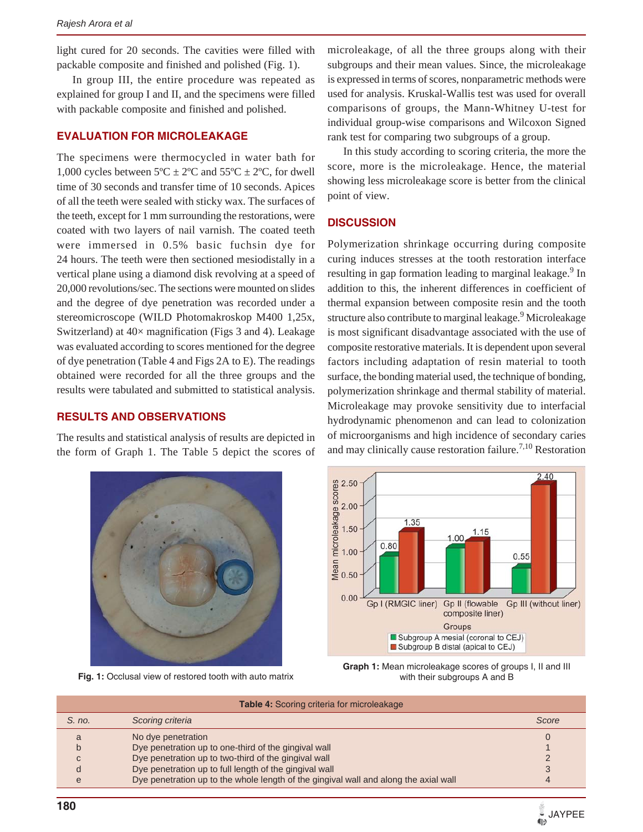light cured for 20 seconds. The cavities were filled with packable composite and finished and polished (Fig. 1).

In group III, the entire procedure was repeated as explained for group I and II, and the specimens were filled with packable composite and finished and polished.

#### **EVALUATION FOR MICROLEAKAGE**

The specimens were thermocycled in water bath for 1,000 cycles between  $5^{\circ}C \pm 2^{\circ}C$  and  $55^{\circ}C \pm 2^{\circ}C$ , for dwell time of 30 seconds and transfer time of 10 seconds. Apices of all the teeth were sealed with sticky wax. The surfaces of the teeth, except for 1 mm surrounding the restorations, were coated with two layers of nail varnish. The coated teeth were immersed in 0.5% basic fuchsin dye for 24 hours. The teeth were then sectioned mesiodistally in a vertical plane using a diamond disk revolving at a speed of 20,000 revolutions/sec. The sections were mounted on slides and the degree of dye penetration was recorded under a stereomicroscope (WILD Photomakroskop M400 1,25x, Switzerland) at 40× magnification (Figs 3 and 4). Leakage was evaluated according to scores mentioned for the degree of dye penetration (Table 4 and Figs 2A to E). The readings obtained were recorded for all the three groups and the results were tabulated and submitted to statistical analysis.

#### **RESULTS AND OBSERVATIONS**

The results and statistical analysis of results are depicted in the form of Graph 1. The Table 5 depict the scores of microleakage, of all the three groups along with their subgroups and their mean values. Since, the microleakage is expressed in terms of scores, nonparametric methods were used for analysis. Kruskal-Wallis test was used for overall comparisons of groups, the Mann-Whitney U-test for individual group-wise comparisons and Wilcoxon Signed rank test for comparing two subgroups of a group.

In this study according to scoring criteria, the more the score, more is the microleakage. Hence, the material showing less microleakage score is better from the clinical point of view.

#### **DISCUSSION**

Polymerization shrinkage occurring during composite curing induces stresses at the tooth restoration interface resulting in gap formation leading to marginal leakage.<sup>9</sup> In addition to this, the inherent differences in coefficient of thermal expansion between composite resin and the tooth structure also contribute to marginal leakage.<sup>9</sup> Microleakage is most significant disadvantage associated with the use of composite restorative materials. It is dependent upon several factors including adaptation of resin material to tooth surface, the bonding material used, the technique of bonding, polymerization shrinkage and thermal stability of material. Microleakage may provoke sensitivity due to interfacial hydrodynamic phenomenon and can lead to colonization of microorganisms and high incidence of secondary caries and may clinically cause restoration failure.<sup>7,10</sup> Restoration



Fig. 1: Occlusal view of restored tooth with auto matrix



**Graph 1:** Mean microleakage scores of groups I, II and III with their subgroups A and B

| <b>Table 4: Scoring criteria for microleakage</b> |                                                                                      |       |  |  |
|---------------------------------------------------|--------------------------------------------------------------------------------------|-------|--|--|
| S. no.                                            | Scoring criteria                                                                     | Score |  |  |
| a                                                 | No dye penetration                                                                   |       |  |  |
| h                                                 | Dye penetration up to one-third of the gingival wall                                 |       |  |  |
| $\mathsf{C}$                                      | Dye penetration up to two-third of the gingival wall                                 |       |  |  |
|                                                   | Dye penetration up to full length of the gingival wall                               |       |  |  |
| e                                                 | Dye penetration up to the whole length of the gingival wall and along the axial wall | 4     |  |  |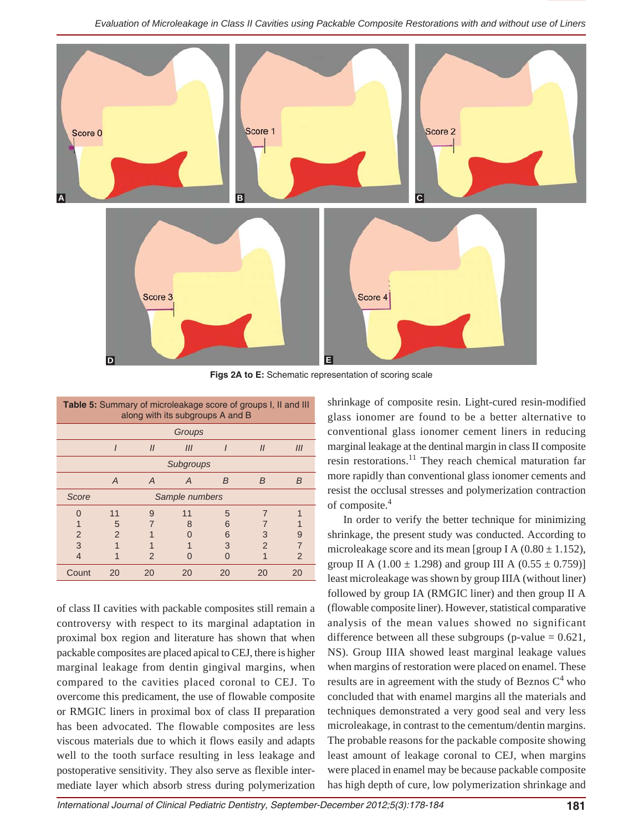

**Figs 2A to E:** Schematic representation of scoring scale

| <b>Table 5:</b> Summary of microleakage score of groups I, II and III<br>along with its subgroups A and B |                |                |     |    |               |     |  |
|-----------------------------------------------------------------------------------------------------------|----------------|----------------|-----|----|---------------|-----|--|
| Groups                                                                                                    |                |                |     |    |               |     |  |
|                                                                                                           |                | $\mathcal{U}$  | III |    | $\mathcal{U}$ | III |  |
| Subgroups                                                                                                 |                |                |     |    |               |     |  |
|                                                                                                           | A              | $\overline{A}$ | A   | B  | <sub>B</sub>  | B   |  |
| Score<br>Sample numbers                                                                                   |                |                |     |    |               |     |  |
| ∩                                                                                                         | 11             | 9              | 11  | 5  | 7             |     |  |
|                                                                                                           | 5              |                | 8   | 6  |               |     |  |
| 2                                                                                                         | $\mathfrak{p}$ |                |     | 6  | 3             | 9   |  |
| 3                                                                                                         |                |                |     | 3  | 2             |     |  |
| 4                                                                                                         |                | 2              |     |    |               | 2   |  |
| Count                                                                                                     | 20             | 20             | 20  | 20 | 20            | 20  |  |

of class II cavities with packable composites still remain a controversy with respect to its marginal adaptation in proximal box region and literature has shown that when packable composites are placed apical to CEJ, there is higher marginal leakage from dentin gingival margins, when compared to the cavities placed coronal to CEJ. To overcome this predicament, the use of flowable composite or RMGIC liners in proximal box of class II preparation has been advocated. The flowable composites are less viscous materials due to which it flows easily and adapts well to the tooth surface resulting in less leakage and postoperative sensitivity. They also serve as flexible intermediate layer which absorb stress during polymerization shrinkage of composite resin. Light-cured resin-modified glass ionomer are found to be a better alternative to conventional glass ionomer cement liners in reducing marginal leakage at the dentinal margin in class II composite resin restorations. $^{11}$  They reach chemical maturation far more rapidly than conventional glass ionomer cements and resist the occlusal stresses and polymerization contraction of composite.4

In order to verify the better technique for minimizing shrinkage, the present study was conducted. According to microleakage score and its mean [group I A  $(0.80 \pm 1.152)$ , group II A  $(1.00 \pm 1.298)$  and group III A  $(0.55 \pm 0.759)$ ] least microleakage was shown by group IIIA (without liner) followed by group IA (RMGIC liner) and then group II A (flowable composite liner). However, statistical comparative analysis of the mean values showed no significant difference between all these subgroups (p-value  $= 0.621$ , NS). Group IIIA showed least marginal leakage values when margins of restoration were placed on enamel. These results are in agreement with the study of Beznos  $C^4$  who concluded that with enamel margins all the materials and techniques demonstrated a very good seal and very less microleakage, in contrast to the cementum/dentin margins. The probable reasons for the packable composite showing least amount of leakage coronal to CEJ, when margins were placed in enamel may be because packable composite has high depth of cure, low polymerization shrinkage and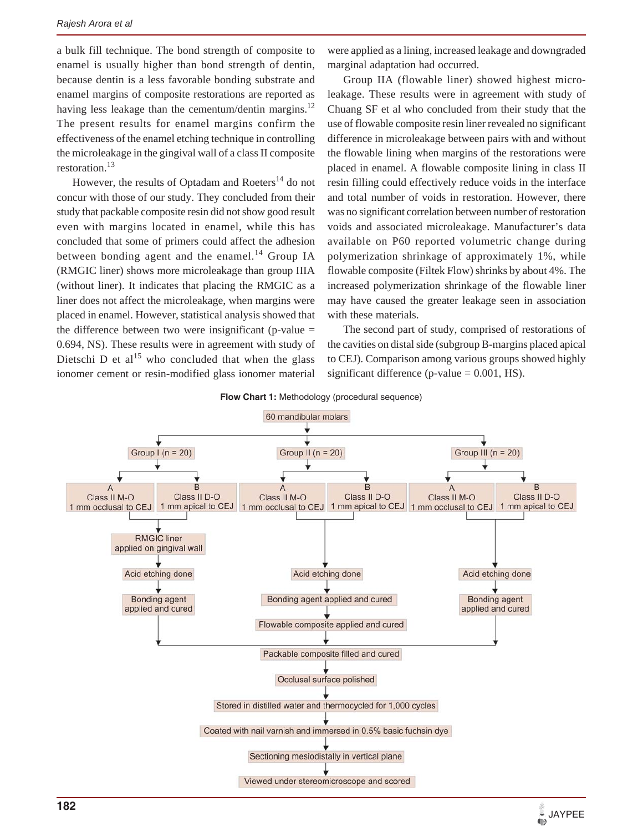a bulk fill technique. The bond strength of composite to enamel is usually higher than bond strength of dentin, because dentin is a less favorable bonding substrate and enamel margins of composite restorations are reported as having less leakage than the cementum/dentin margins.<sup>12</sup> The present results for enamel margins confirm the effectiveness of the enamel etching technique in controlling the microleakage in the gingival wall of a class II composite restoration.<sup>13</sup>

However, the results of Optadam and Roeters<sup>14</sup> do not concur with those of our study. They concluded from their study that packable composite resin did not show good result even with margins located in enamel, while this has concluded that some of primers could affect the adhesion between bonding agent and the enamel.<sup>14</sup> Group IA (RMGIC liner) shows more microleakage than group IIIA (without liner). It indicates that placing the RMGIC as a liner does not affect the microleakage, when margins were placed in enamel. However, statistical analysis showed that the difference between two were insignificant (p-value  $=$ 0.694, NS). These results were in agreement with study of Dietschi D et al<sup>15</sup> who concluded that when the glass ionomer cement or resin-modified glass ionomer material

were applied as a lining, increased leakage and downgraded marginal adaptation had occurred.

Group IIA (flowable liner) showed highest microleakage. These results were in agreement with study of Chuang SF et al who concluded from their study that the use of flowable composite resin liner revealed no significant difference in microleakage between pairs with and without the flowable lining when margins of the restorations were placed in enamel. A flowable composite lining in class II resin filling could effectively reduce voids in the interface and total number of voids in restoration. However, there was no significant correlation between number of restoration voids and associated microleakage. Manufacturer's data available on P60 reported volumetric change during polymerization shrinkage of approximately 1%, while flowable composite (Filtek Flow) shrinks by about 4%. The increased polymerization shrinkage of the flowable liner may have caused the greater leakage seen in association with these materials.

The second part of study, comprised of restorations of the cavities on distal side (subgroup B-margins placed apical to CEJ). Comparison among various groups showed highly significant difference (p-value  $= 0.001$ , HS).



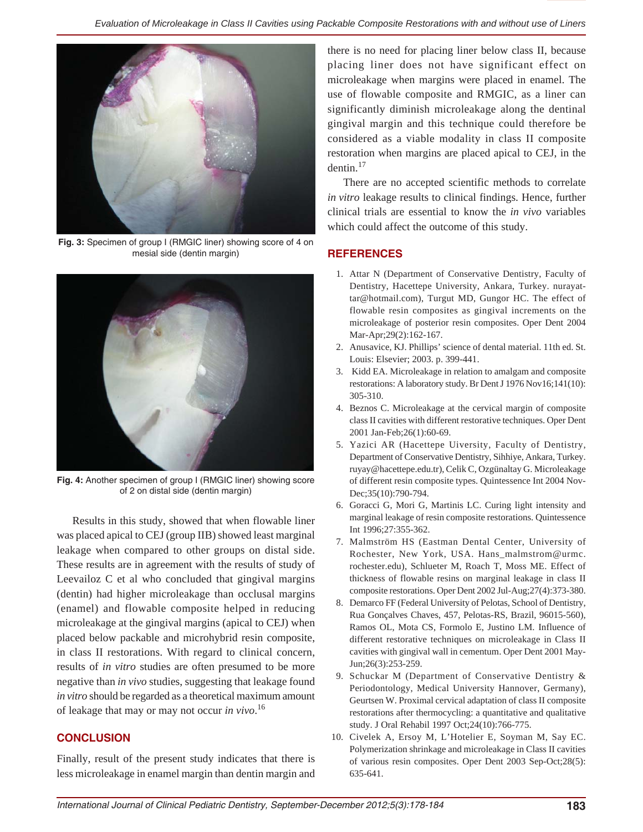

**Fig. 3:** Specimen of group I (RMGIC liner) showing score of 4 on mesial side (dentin margin)



**Fig. 4:** Another specimen of group I (RMGIC liner) showing score of 2 on distal side (dentin margin)

Results in this study, showed that when flowable liner was placed apical to CEJ (group IIB) showed least marginal leakage when compared to other groups on distal side. These results are in agreement with the results of study of Leevailoz C et al who concluded that gingival margins (dentin) had higher microleakage than occlusal margins (enamel) and flowable composite helped in reducing microleakage at the gingival margins (apical to CEJ) when placed below packable and microhybrid resin composite, in class II restorations. With regard to clinical concern, results of *in vitro* studies are often presumed to be more negative than *in vivo* studies, suggesting that leakage found *in vitro* should be regarded as a theoretical maximum amount of leakage that may or may not occur *in vivo*. 16

# **CONCLUSION**

Finally, result of the present study indicates that there is less microleakage in enamel margin than dentin margin and

there is no need for placing liner below class II, because placing liner does not have significant effect on microleakage when margins were placed in enamel. The use of flowable composite and RMGIC, as a liner can significantly diminish microleakage along the dentinal gingival margin and this technique could therefore be considered as a viable modality in class II composite restoration when margins are placed apical to CEJ, in the dentin.<sup>17</sup>

There are no accepted scientific methods to correlate *in vitro* leakage results to clinical findings. Hence, further clinical trials are essential to know the *in vivo* variables which could affect the outcome of this study.

# **REFERENCES**

- 1. Attar N (Department of Conservative Dentistry, Faculty of Dentistry, Hacettepe University, Ankara, Turkey. nurayattar@hotmail.com), Turgut MD, Gungor HC. The effect of flowable resin composites as gingival increments on the microleakage of posterior resin composites. Oper Dent 2004 Mar-Apr;29(2):162-167.
- 2. Anusavice, KJ. Phillips' science of dental material. 11th ed. St. Louis: Elsevier; 2003. p. 399-441.
- 3. Kidd EA. Microleakage in relation to amalgam and composite restorations: A laboratory study. Br Dent J 1976 Nov16;141(10): 305-310.
- 4. Beznos C. Microleakage at the cervical margin of composite class II cavities with different restorative techniques. Oper Dent 2001 Jan-Feb;26(1):60-69.
- 5. Yazici AR (Hacettepe Uiversity, Faculty of Dentistry, Department of Conservative Dentistry, Sihhiye, Ankara, Turkey. ruyay@hacettepe.edu.tr), Celik C, Ozgünaltay G. Microleakage of different resin composite types. Quintessence Int 2004 Nov-Dec;35(10):790-794.
- 6. Goracci G, Mori G, Martinis LC. Curing light intensity and marginal leakage of resin composite restorations. Quintessence Int 1996;27:355-362.
- 7. Malmström HS (Eastman Dental Center, University of Rochester, New York, USA. Hans\_malmstrom@urmc. rochester.edu), Schlueter M, Roach T, Moss ME. Effect of thickness of flowable resins on marginal leakage in class II composite restorations. Oper Dent 2002 Jul-Aug;27(4):373-380.
- 8. Demarco FF (Federal University of Pelotas, School of Dentistry, Rua Gonçalves Chaves, 457, Pelotas-RS, Brazil, 96015-560), Ramos OL, Mota CS, Formolo E, Justino LM. Influence of different restorative techniques on microleakage in Class II cavities with gingival wall in cementum. Oper Dent 2001 May-Jun;26(3):253-259.
- 9. Schuckar M (Department of Conservative Dentistry & Periodontology, Medical University Hannover, Germany), Geurtsen W. Proximal cervical adaptation of class II composite restorations after thermocycling: a quantitative and qualitative study. J Oral Rehabil 1997 Oct;24(10):766-775.
- 10. Civelek A, Ersoy M, L'Hotelier E, Soyman M, Say EC. Polymerization shrinkage and microleakage in Class II cavities of various resin composites. Oper Dent 2003 Sep-Oct;28(5): 635-641.